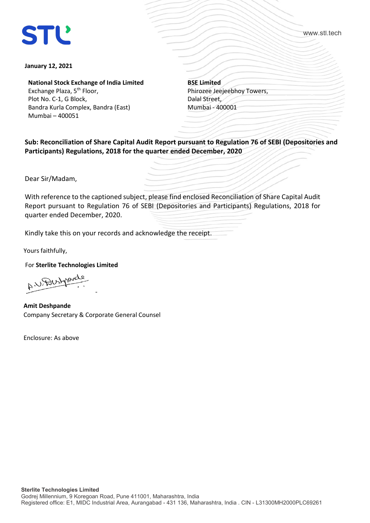# **STL**

www.stl.tech

#### **January 12, 2021**

**National Stock Exchange of India Limited** Exchange Plaza, 5<sup>th</sup> Floor,

Plot No. C-1, G Block, Bandra Kurla Complex, Bandra (East) Mumbai – 400051

**BSE Limited** Phirozee Jeejeebhoy Towers, Dalal Street, Mumbai - 400001

**Sub: Reconciliation of Share Capital Audit Report pursuant to Regulation 76 of SEBI (Depositories and Participants) Regulations, 2018 for the quarter ended December, 2020**

Dear Sir/Madam,

With reference to the captioned subject, please find enclosed Reconciliation of Share Capital Audit Report pursuant to Regulation 76 of SEBI (Depositories and Participants) Regulations, 2018 for quarter ended December, 2020.

Kindly take this on your records and acknowledge the receipt.

Yours faithfully,

For **Sterlite Technologies Limited**

-  $A^{\prime\prime}$ ---

**Amit Deshpande** Company Secretary & Corporate General Counsel

Enclosure: As above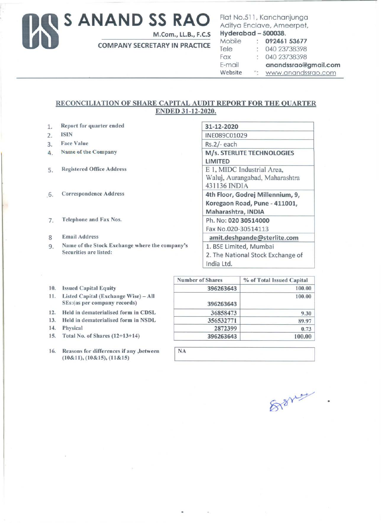## Us **S ANAND SS RAO**

M.Com., LL.B., F.C.S

COMPANY SECRETARY IN PRACTICE

### Flat No.511, Kanchanjunga Aditya Enclave, Ameerpet,<br>Hyderabad - 500038.

| Hyderabad – 500038. |                            |                      |
|---------------------|----------------------------|----------------------|
| Mobile              |                            | : 09246153677        |
| Tele                | $\mathbb{Z}$               | 040 23738398         |
| Fax                 | $\mathcal{L}$              | 040 23738398         |
| E-mail              |                            | anandssrao@gmail.com |
| Website             | $\overline{\phantom{a}}$ . | www.anandssrao.com   |

### RECONCILIATION OF SHARE CAPITAL AUDIT REPORT FOR THE QUARTER ENDED 31-12-2020.

- 1. Report for quarter ended
- 2. ISIN
- 3. Face Value
- 4 . Name of the Company
- S. Registered Office Address
- 6. Correspondence Address
- 7. Telephone and Fax Nos.
- 8 Email Address
- 9. Name of the Stock Exchange where the company's Securities are listed:

| 31-12-2020                        |
|-----------------------------------|
| INE089C01029                      |
| Rs.2/-each                        |
| M/s. STERLITE TECHNOLOGIES        |
| LIMITED                           |
| E 1, MIDC Industrial Area,        |
| Waluj, Aurangabad, Maharashtra    |
| 431136 INDIA                      |
| 4th Floor, Godrej Millennium, 9,  |
| Koregaon Road, Pune - 411001,     |
| Maharashtra, INDIA                |
| Ph. No: 020 30514000              |
| Fax No.020-30514113               |
| amit.deshpande@sterlite.com       |
| 1. BSE Limited, Mumbai            |
| 2. The National Stock Exchange of |
| India Ltd.                        |

- 10. Issued Capital Equity
- 11. Listed Capital (Exchange Wise) All SEs:(as per company records)
- 12. Held in dematerialised form in CDSL
- 13. Held in dematerialised form in NSDL
- 
- 15. Total No. of Shares  $(12+13+14)$
- 

|     |                                      | <b>Number of Shares</b> | % of Total Issued Capital |
|-----|--------------------------------------|-------------------------|---------------------------|
| 10. | <b>Issued Capital Equity</b>         | 396263643               | 100.00                    |
| 11. | Listed Capital (Exchange Wise) - All |                         | 100.00                    |
|     | SEs: (as per company records)        | 396263643               |                           |
| 12. | Held in dematerialised form in CDSL  | 36858473                | 9.30                      |
| 13. | Held in dematerialised form in NSDL  | 356532771               | 89.97                     |
| 14. | Physical                             | 2872399                 | 0.73                      |
|     | 15. Total No. of Shares (12+13+14)   | 396263643               | 100.00                    |

| 16. | Reasons for differences if any , between<br>$(10\&11), (10\&15), (11\&15)$ | <b>NA</b> |
|-----|----------------------------------------------------------------------------|-----------|
|     |                                                                            |           |

818 yrs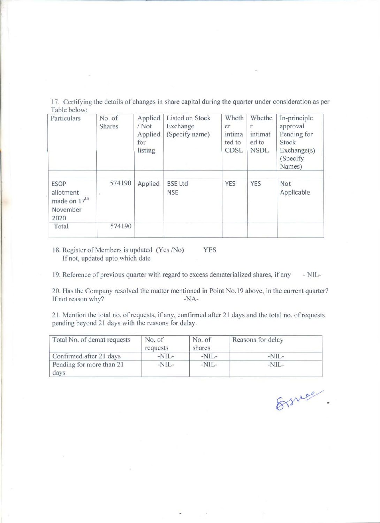17. Certifying the details of changes in share capital during the quarter under consideration as per Table below:

| Particulars                                                              | No. of<br><b>Shares</b> | Applied<br>/Not<br>Applied<br>for<br>listing | Listed on Stock<br>Exchange<br>(Specify name) | Wheth<br>er<br>intima<br>ted to<br><b>CDSL</b> | Whethe<br>intimat<br>ed to<br><b>NSDL</b> | In-principle<br>approval<br>Pending for<br>Stock<br>Exchange(s)<br>(Specify)<br>Names) |
|--------------------------------------------------------------------------|-------------------------|----------------------------------------------|-----------------------------------------------|------------------------------------------------|-------------------------------------------|----------------------------------------------------------------------------------------|
| <b>ESOP</b><br>allotment<br>made on 17 <sup>th</sup><br>November<br>2020 | 574190                  | Applied                                      | <b>BSE Ltd</b><br><b>NSE</b>                  | <b>YES</b>                                     | YES                                       | Not<br>Applicable                                                                      |
| Total                                                                    | 574190                  |                                              |                                               |                                                |                                           |                                                                                        |

18. Register of Members is updated (Yes /No) YES If not, updated upto which date

19. Reference of previous quarter with regard to excess dematerialized shares, if any - NIL-

20. Has the Company resolved the matter mentioned in Point No.19 above, in the current quarter? If not reason why? -NA-

21. Mention the total no. of requests, if any, confirmed after 21 days and the total no. of requests pending beyond 21 days with the reasons for delay.

| Total No. of demat requests      | No. of<br>requests | No. of<br>shares | Reasons for delay |
|----------------------------------|--------------------|------------------|-------------------|
| Confirmed after 21 days          | $-NIL-$            | $-NIL-$          | $-NIL-$           |
| Pending for more than 21<br>days | $-NIL-$            | $-NIL-$          | $-NIL-$           |

Ernee.